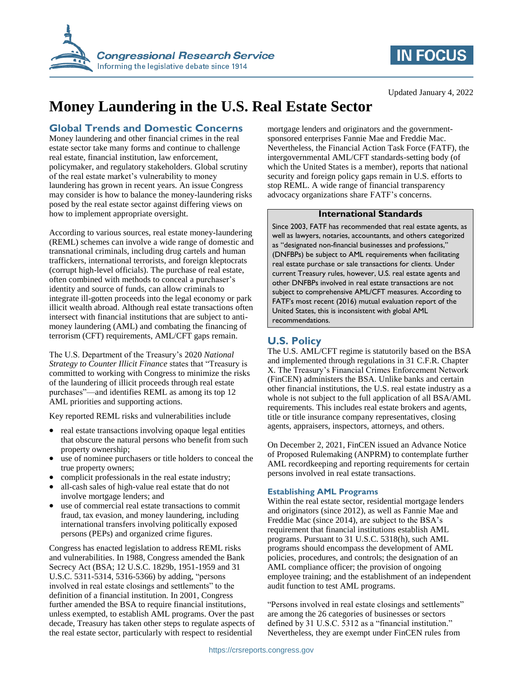

# **IN FOCUS**

#### Updated January 4, 2022

# **Money Laundering in the U.S. Real Estate Sector**

### **Global Trends and Domestic Concerns**

Money laundering and other financial crimes in the real estate sector take many forms and continue to challenge real estate, financial institution, law enforcement, policymaker, and regulatory stakeholders. Global scrutiny of the real estate market's vulnerability to money laundering has grown in recent years. An issue Congress may consider is how to balance the money-laundering risks posed by the real estate sector against differing views on how to implement appropriate oversight.

According to various sources, real estate money-laundering (REML) schemes can involve a wide range of domestic and transnational criminals, including drug cartels and human traffickers, international terrorists, and foreign kleptocrats (corrupt high-level officials). The purchase of real estate, often combined with methods to conceal a purchaser's identity and source of funds, can allow criminals to integrate ill-gotten proceeds into the legal economy or park illicit wealth abroad. Although real estate transactions often intersect with financial institutions that are subject to antimoney laundering (AML) and combating the financing of terrorism (CFT) requirements, AML/CFT gaps remain.

The U.S. Department of the Treasury's 2020 *National Strategy to Counter Illicit Finance* states that "Treasury is committed to working with Congress to minimize the risks of the laundering of illicit proceeds through real estate purchases"—and identifies REML as among its top 12 AML priorities and supporting actions.

Key reported REML risks and vulnerabilities include

- real estate transactions involving opaque legal entities that obscure the natural persons who benefit from such property ownership;
- use of nominee purchasers or title holders to conceal the true property owners;
- complicit professionals in the real estate industry;
- all-cash sales of high-value real estate that do not involve mortgage lenders; and
- use of commercial real estate transactions to commit fraud, tax evasion, and money laundering, including international transfers involving politically exposed persons (PEPs) and organized crime figures.

Congress has enacted legislation to address REML risks and vulnerabilities. In 1988, Congress amended the Bank Secrecy Act (BSA; 12 U.S.C. 1829b, 1951-1959 and 31 U.S.C. 5311-5314, 5316-5366) by adding, "persons involved in real estate closings and settlements" to the definition of a financial institution. In 2001, Congress further amended the BSA to require financial institutions, unless exempted, to establish AML programs. Over the past decade, Treasury has taken other steps to regulate aspects of the real estate sector, particularly with respect to residential

mortgage lenders and originators and the governmentsponsored enterprises Fannie Mae and Freddie Mac. Nevertheless, the Financial Action Task Force (FATF), the intergovernmental AML/CFT standards-setting body (of which the United States is a member), reports that national security and foreign policy gaps remain in U.S. efforts to stop REML. A wide range of financial transparency advocacy organizations share FATF's concerns.

#### **International Standards**

Since 2003, FATF has recommended that real estate agents, as well as lawyers, notaries, accountants, and others categorized as "designated non-financial businesses and professions," (DNFBPs) be subject to AML requirements when facilitating real estate purchase or sale transactions for clients. Under current Treasury rules, however, U.S. real estate agents and other DNFBPs involved in real estate transactions are not subject to comprehensive AML/CFT measures. According to FATF's most recent (2016) mutual evaluation report of the United States, this is inconsistent with global AML recommendations.

### **U.S. Policy**

The U.S. AML/CFT regime is statutorily based on the BSA and implemented through regulations in 31 C.F.R. Chapter X. The Treasury's Financial Crimes Enforcement Network (FinCEN) administers the BSA. Unlike banks and certain other financial institutions, the U.S. real estate industry as a whole is not subject to the full application of all BSA/AML requirements. This includes real estate brokers and agents, title or title insurance company representatives, closing agents, appraisers, inspectors, attorneys, and others.

On December 2, 2021, FinCEN issued an Advance Notice of Proposed Rulemaking (ANPRM) to contemplate further AML recordkeeping and reporting requirements for certain persons involved in real estate transactions.

#### **Establishing AML Programs**

Within the real estate sector, residential mortgage lenders and originators (since 2012), as well as Fannie Mae and Freddie Mac (since 2014), are subject to the BSA's requirement that financial institutions establish AML programs. Pursuant to 31 U.S.C. 5318(h), such AML programs should encompass the development of AML policies, procedures, and controls; the designation of an AML compliance officer; the provision of ongoing employee training; and the establishment of an independent audit function to test AML programs.

"Persons involved in real estate closings and settlements" are among the 26 categories of businesses or sectors defined by 31 U.S.C. 5312 as a "financial institution." Nevertheless, they are exempt under FinCEN rules from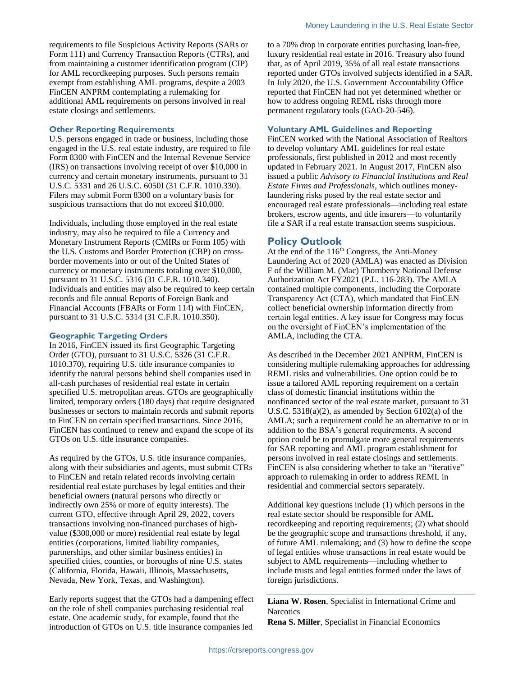exempt from establishing AML programs, despite a 2003 FinCEN ANPRM contemplating a rulemaking for additional AML requirements on persons involved in real estate closings and settlements.

#### **Other Reporting Requirements**

U.S. persons engaged in trade or business, including those engaged in the U.S. real estate industry, are required to file Form 8300 with FinCEN and the Internal Revenue Service (IRS) on transactions involving receipt of over \$10,000 in currency and certain monetary instruments, pursuant to 31 U.S.C. 5331 and 26 U.S.C. 6050I (31 C.F.R. 1010.330). Filers may submit Form 8300 on a voluntary basis for suspicious transactions that do not exceed \$10,000.

Individuals, including those employed in the real estate industry, may also be required to file a Currency and Monetary Instrument Reports (CMIRs or Form 105) with the U.S. Customs and Border Protection (CBP) on crossborder movements into or out of the United States of currency or monetary instruments totaling over \$10,000, pursuant to 31 U.S.C. 5316 (31 C.F.R. 1010.340). Individuals and entities may also be required to keep certain records and file annual Reports of Foreign Bank and Financial Accounts (FBARs or Form 114) with FinCEN, pursuant to 31 U.S.C. 5314 (31 C.F.R. 1010.350).

#### **Geographic Targeting Orders**

In 2016, FinCEN issued its first Geographic Targeting Order (GTO), pursuant to 31 U.S.C. 5326 (31 C.F.R. 1010.370), requiring U.S. title insurance companies to identify the natural persons behind shell companies used in all-cash purchases of residential real estate in certain specified U.S. metropolitan areas. GTOs are geographically limited, temporary orders (180 days) that require designated businesses or sectors to maintain records and submit reports to FinCEN on certain specified transactions. Since 2016, FinCEN has continued to renew and expand the scope of its GTOs on U.S. title insurance companies.

As required by the GTOs, U.S. title insurance companies, along with their subsidiaries and agents, must submit CTRs to FinCEN and retain related records involving certain residential real estate purchases by legal entities and their beneficial owners (natural persons who directly or indirectly own 25% or more of equity interests). The current GTO, effective through April 29, 2022, covers transactions involving non-financed purchases of highvalue (\$300,000 or more) residential real estate by legal entities (corporations, limited liability companies, partnerships, and other similar business entities) in specified cities, counties, or boroughs of nine U.S. states (California, Florida, Hawaii, Illinois, Massachusetts, Nevada, New York, Texas, and Washington).

Early reports suggest that the GTOs had a dampening effect on the role of shell companies purchasing residential real estate. One academic study, for example, found that the introduction of GTOs on U.S. title insurance companies led

to a 70% drop in corporate entities purchasing loan-free, luxury residential real estate in 2016. Treasury also found that, as of April 2019, 35% of all real estate transactions reported under GTOs involved subjects identified in a SAR. In July 2020, the U.S. Government Accountability Office reported that FinCEN had not yet determined whether or how to address ongoing REML risks through more permanent regulatory tools (GAO-20-546).

#### **Voluntary AML Guidelines and Reporting**

FinCEN worked with the National Association of Realtors to develop voluntary AML guidelines for real estate professionals, first published in 2012 and most recently updated in February 2021. In August 2017, FinCEN also issued a public *Advisory to Financial Institutions and Real Estate Firms and Professionals*, which outlines moneylaundering risks posed by the real estate sector and encouraged real estate professionals—including real estate brokers, escrow agents, and title insurers—to voluntarily file a SAR if a real estate transaction seems suspicious.

#### **Policy Outlook**

At the end of the 116<sup>th</sup> Congress, the Anti-Money Laundering Act of 2020 (AMLA) was enacted as Division F of the William M. (Mac) Thornberry National Defense Authorization Act FY2021 (P.L. 116-283). The AMLA contained multiple components, including the Corporate Transparency Act (CTA), which mandated that FinCEN collect beneficial ownership information directly from certain legal entities. A key issue for Congress may focus on the oversight of FinCEN's implementation of the AMLA, including the CTA.

As described in the December 2021 ANPRM, FinCEN is considering multiple rulemaking approaches for addressing REML risks and vulnerabilities. One option could be to issue a tailored AML reporting requirement on a certain class of domestic financial institutions within the nonfinanced sector of the real estate market, pursuant to 31 U.S.C.  $5318(a)(2)$ , as amended by Section  $6102(a)$  of the AMLA; such a requirement could be an alternative to or in addition to the BSA's general requirements. A second option could be to promulgate more general requirements for SAR reporting and AML program establishment for persons involved in real estate closings and settlements. FinCEN is also considering whether to take an "iterative" approach to rulemaking in order to address REML in residential and commercial sectors separately.

Additional key questions include (1) which persons in the real estate sector should be responsible for AML recordkeeping and reporting requirements; (2) what should be the geographic scope and transactions threshold, if any, of future AML rulemaking; and (3) how to define the scope of legal entities whose transactions in real estate would be subject to AML requirements—including whether to include trusts and legal entities formed under the laws of foreign jurisdictions.

**Liana W. Rosen**, Specialist in International Crime and **Narcotics** 

**Rena S. Miller**, Specialist in Financial Economics